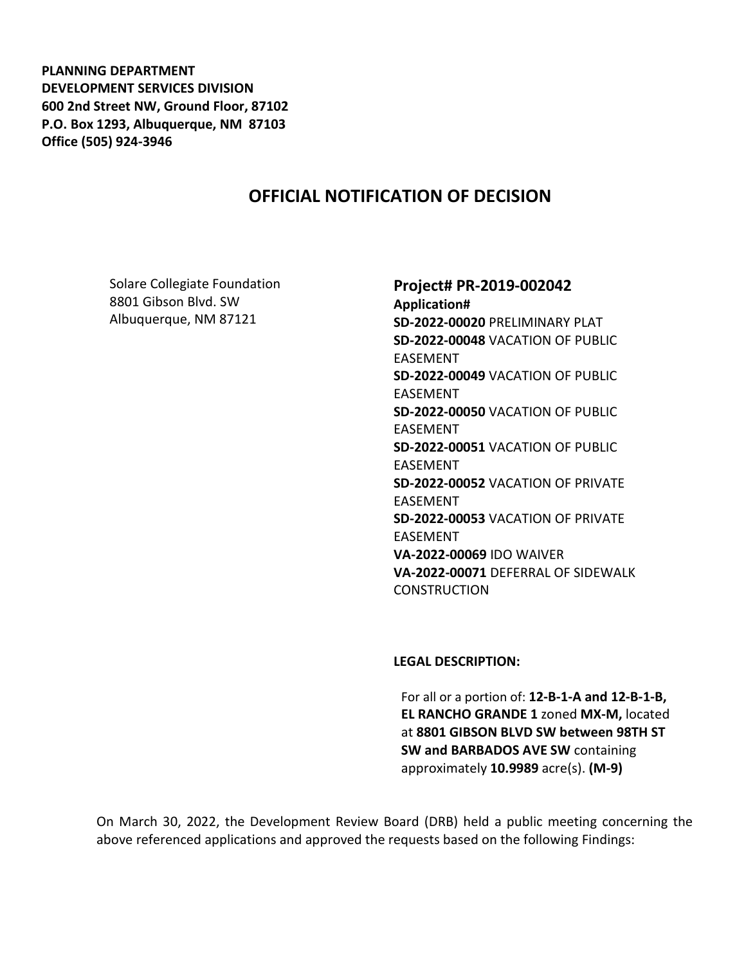**PLANNING DEPARTMENT DEVELOPMENT SERVICES DIVISION 600 2nd Street NW, Ground Floor, 87102 P.O. Box 1293, Albuquerque, NM 87103 Office (505) 924-3946** 

## **OFFICIAL NOTIFICATION OF DECISION**

Solare Collegiate Foundation 8801 Gibson Blvd. SW Albuquerque, NM 87121

# **Project# PR-2019-002042**

**Application# SD-2022-00020** PRELIMINARY PLAT **SD-2022-00048** VACATION OF PUBLIC EASEMENT **SD-2022-00049** VACATION OF PUBLIC EASEMENT **SD-2022-00050** VACATION OF PUBLIC EASEMENT **SD-2022-00051** VACATION OF PUBLIC EASEMENT **SD-2022-00052** VACATION OF PRIVATE EASEMENT **SD-2022-00053** VACATION OF PRIVATE EASEMENT **VA-2022-00069** IDO WAIVER **VA-2022-00071** DEFERRAL OF SIDEWALK **CONSTRUCTION** 

#### **LEGAL DESCRIPTION:**

For all or a portion of: **12-B-1-A and 12-B-1-B, EL RANCHO GRANDE 1** zoned **MX-M,** located at **8801 GIBSON BLVD SW between 98TH ST SW and BARBADOS AVE SW** containing approximately **10.9989** acre(s). **(M-9)**

On March 30, 2022, the Development Review Board (DRB) held a public meeting concerning the above referenced applications and approved the requests based on the following Findings: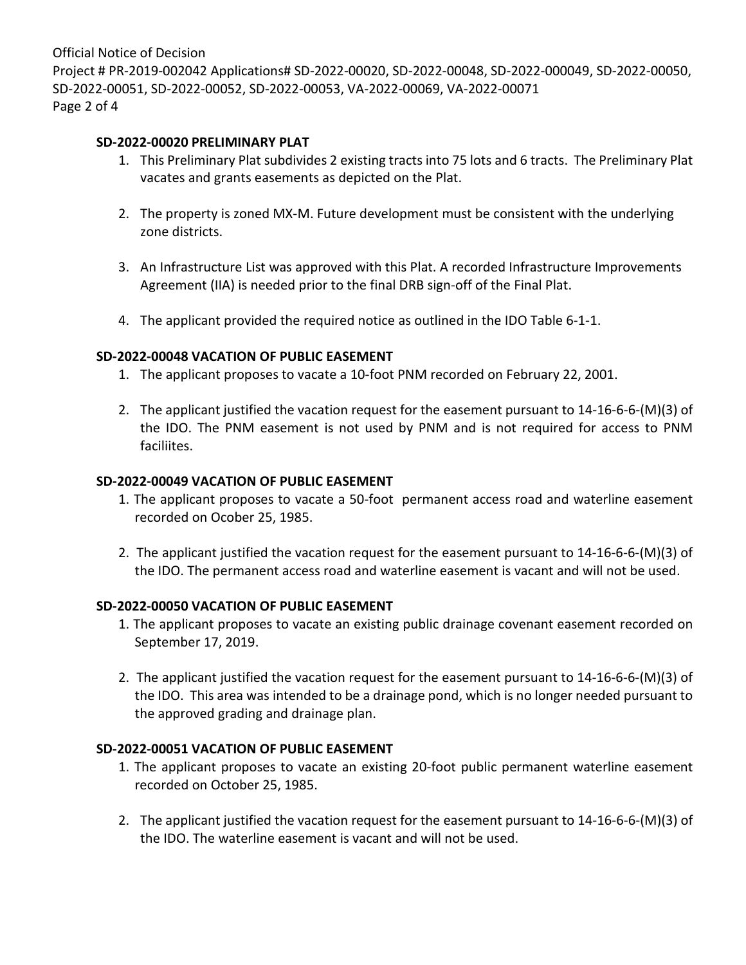Official Notice of Decision Project # PR-2019-002042 Applications# SD-2022-00020, SD-2022-00048, SD-2022-000049, SD-2022-00050, SD-2022-00051, SD-2022-00052, SD-2022-00053, VA-2022-00069, VA-2022-00071 Page 2 of 4

#### **SD-2022-00020 PRELIMINARY PLAT**

- 1. This Preliminary Plat subdivides 2 existing tracts into 75 lots and 6 tracts. The Preliminary Plat vacates and grants easements as depicted on the Plat.
- 2. The property is zoned MX-M. Future development must be consistent with the underlying zone districts.
- 3. An Infrastructure List was approved with this Plat. A recorded Infrastructure Improvements Agreement (IIA) is needed prior to the final DRB sign-off of the Final Plat.
- 4. The applicant provided the required notice as outlined in the IDO Table 6-1-1.

### **SD-2022-00048 VACATION OF PUBLIC EASEMENT**

- 1. The applicant proposes to vacate a 10-foot PNM recorded on February 22, 2001.
- 2. The applicant justified the vacation request for the easement pursuant to 14-16-6-6-(M)(3) of the IDO. The PNM easement is not used by PNM and is not required for access to PNM faciliites.

### **SD-2022-00049 VACATION OF PUBLIC EASEMENT**

- 1. The applicant proposes to vacate a 50-foot permanent access road and waterline easement recorded on Ocober 25, 1985.
- 2. The applicant justified the vacation request for the easement pursuant to 14-16-6-6-(M)(3) of the IDO. The permanent access road and waterline easement is vacant and will not be used.

### **SD-2022-00050 VACATION OF PUBLIC EASEMENT**

- 1. The applicant proposes to vacate an existing public drainage covenant easement recorded on September 17, 2019.
- 2. The applicant justified the vacation request for the easement pursuant to 14-16-6-6-(M)(3) of the IDO. This area was intended to be a drainage pond, which is no longer needed pursuant to the approved grading and drainage plan.

### **SD-2022-00051 VACATION OF PUBLIC EASEMENT**

- 1. The applicant proposes to vacate an existing 20-foot public permanent waterline easement recorded on October 25, 1985.
- 2. The applicant justified the vacation request for the easement pursuant to 14-16-6-6-(M)(3) of the IDO. The waterline easement is vacant and will not be used.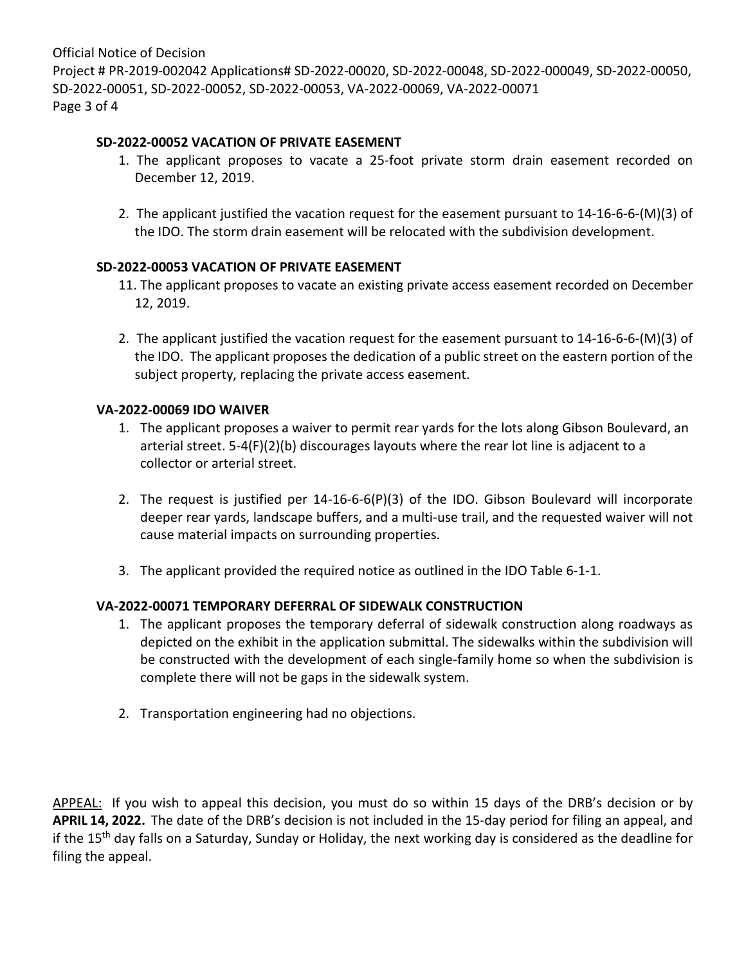Official Notice of Decision Project # PR-2019-002042 Applications# SD-2022-00020, SD-2022-00048, SD-2022-000049, SD-2022-00050, SD-2022-00051, SD-2022-00052, SD-2022-00053, VA-2022-00069, VA-2022-00071 Page 3 of 4

#### **SD-2022-00052 VACATION OF PRIVATE EASEMENT**

- 1. The applicant proposes to vacate a 25-foot private storm drain easement recorded on December 12, 2019.
- 2. The applicant justified the vacation request for the easement pursuant to 14-16-6-6-(M)(3) of the IDO. The storm drain easement will be relocated with the subdivision development.

### **SD-2022-00053 VACATION OF PRIVATE EASEMENT**

- 11. The applicant proposes to vacate an existing private access easement recorded on December 12, 2019.
- 2. The applicant justified the vacation request for the easement pursuant to 14-16-6-6-(M)(3) of the IDO. The applicant proposes the dedication of a public street on the eastern portion of the subject property, replacing the private access easement.

#### **VA-2022-00069 IDO WAIVER**

- 1. The applicant proposes a waiver to permit rear yards for the lots along Gibson Boulevard, an arterial street. 5-4(F)(2)(b) discourages layouts where the rear lot line is adjacent to a collector or arterial street.
- 2. The request is justified per 14-16-6-6(P)(3) of the IDO. Gibson Boulevard will incorporate deeper rear yards, landscape buffers, and a multi-use trail, and the requested waiver will not cause material impacts on surrounding properties.
- 3. The applicant provided the required notice as outlined in the IDO Table 6-1-1.

### **VA-2022-00071 TEMPORARY DEFERRAL OF SIDEWALK CONSTRUCTION**

- 1. The applicant proposes the temporary deferral of sidewalk construction along roadways as depicted on the exhibit in the application submittal. The sidewalks within the subdivision will be constructed with the development of each single-family home so when the subdivision is complete there will not be gaps in the sidewalk system.
- 2. Transportation engineering had no objections.

APPEAL: If you wish to appeal this decision, you must do so within 15 days of the DRB's decision or by **APRIL 14, 2022.** The date of the DRB's decision is not included in the 15-day period for filing an appeal, and if the 15<sup>th</sup> day falls on a Saturday, Sunday or Holiday, the next working day is considered as the deadline for filing the appeal.